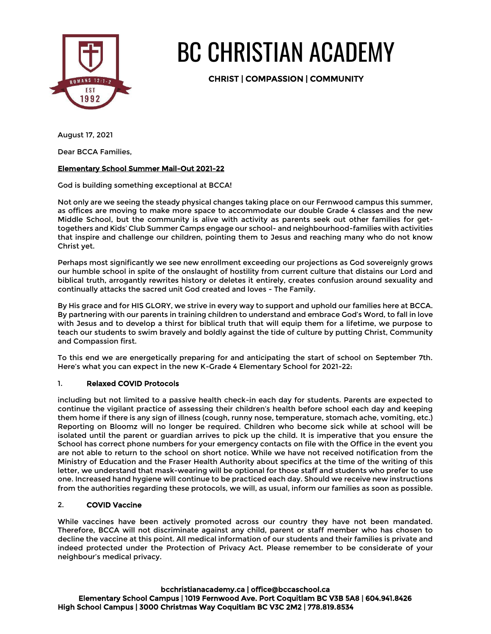

# BC CHRISTIAN ACADEMY

CHRIST | COMPASSION | COMMUNITY

August 17, 2021

Dear BCCA Families,

# Elementary School Summer Mail-Out 2021-22

God is building something exceptional at BCCA!

Not only are we seeing the steady physical changes taking place on our Fernwood campus this summer, as offices are moving to make more space to accommodate our double Grade 4 classes and the new Middle School, but the community is alive with activity as parents seek out other families for gettogethers and Kids' Club Summer Camps engage our school- and neighbourhood-families with activities that inspire and challenge our children, pointing them to Jesus and reaching many who do not know Christ yet.

Perhaps most significantly we see new enrollment exceeding our projections as God sovereignly grows our humble school in spite of the onslaught of hostility from current culture that distains our Lord and biblical truth, arrogantly rewrites history or deletes it entirely, creates confusion around sexuality and continually attacks the sacred unit God created and loves - The Family.

By His grace and for HIS GLORY, we strive in every way to support and uphold our families here at BCCA. By partnering with our parents in training children to understand and embrace God's Word, to fall in love with Jesus and to develop a thirst for biblical truth that will equip them for a lifetime, we purpose to teach our students to swim bravely and boldly against the tide of culture by putting Christ, Community and Compassion first.

To this end we are energetically preparing for and anticipating the start of school on September 7th. Here's what you can expect in the new K-Grade 4 Elementary School for 2021-22:

## 1. Relaxed COVID Protocols

including but not limited to a passive health check-in each day for students. Parents are expected to continue the vigilant practice of assessing their children's health before school each day and keeping them home if there is any sign of illness (cough, runny nose, temperature, stomach ache, vomiting, etc.) Reporting on Bloomz will no longer be required. Children who become sick while at school will be isolated until the parent or guardian arrives to pick up the child. It is imperative that you ensure the School has correct phone numbers for your emergency contacts on file with the Office in the event you are not able to return to the school on short notice. While we have not received notification from the Ministry of Education and the Fraser Health Authority about specifics at the time of the writing of this letter, we understand that mask-wearing will be optional for those staff and students who prefer to use one. Increased hand hygiene will continue to be practiced each day. Should we receive new instructions from the authorities regarding these protocols, we will, as usual, inform our families as soon as possible.

## 2. COVID Vaccine

While vaccines have been actively promoted across our country they have not been mandated. Therefore, BCCA will not discriminate against any child, parent or staff member who has chosen to decline the vaccine at this point. All medical information of our students and their families is private and indeed protected under the Protection of Privacy Act. Please remember to be considerate of your neighbour's medical privacy.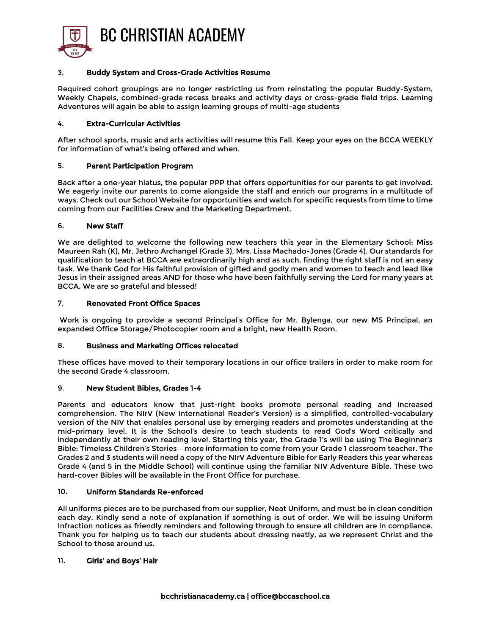

#### 3. Buddy System and Cross-Grade Activities Resume

Required cohort groupings are no longer restricting us from reinstating the popular Buddy-System, Weekly Chapels, combined-grade recess breaks and activity days or cross-grade field trips. Learning Adventures will again be able to assign learning groups of multi-age students

#### 4. Extra-Curricular Activities

After school sports, music and arts activities will resume this Fall. Keep your eyes on the BCCA WEEKLY for information of what's being offered and when.

#### 5. Parent Participation Program

Back after a one-year hiatus, the popular PPP that offers opportunities for our parents to get involved. We eagerly invite our parents to come alongside the staff and enrich our programs in a multitude of ways. Check out our School Website for opportunities and watch for specific requests from time to time coming from our Facilities Crew and the Marketing Department.

#### 6. New Staff

We are delighted to welcome the following new teachers this year in the Elementary School: Miss Maureen Rah (K), Mr. Jethro Archangel (Grade 3), Mrs. Lissa Machado-Jones (Grade 4). Our standards for qualification to teach at BCCA are extraordinarily high and as such, finding the right staff is not an easy task. We thank God for His faithful provision of gifted and godly men and women to teach and lead like Jesus in their assigned areas AND for those who have been faithfully serving the Lord for many years at BCCA. We are so grateful and blessed!

#### 7. Renovated Front Office Spaces

Work is ongoing to provide a second Principal's Office for Mr. Bylenga, our new MS Principal, an expanded Office Storage/Photocopier room and a bright, new Health Room.

## 8. Business and Marketing Offices relocated

These offices have moved to their temporary locations in our office trailers in order to make room for the second Grade 4 classroom.

## 9. New Student Bibles, Grades 1-4

Parents and educators know that just-right books promote personal reading and increased comprehension. The NIrV (New International Reader's Version) is a simplified, controlled-vocabulary version of the NIV that enables personal use by emerging readers and promotes understanding at the mid-primary level. It is the School's desire to teach students to read God's Word critically and independently at their own reading level. Starting this year, the Grade 1's will be using The Beginner's Bible: Timeless Children's Stories – more information to come from your Grade 1 classroom teacher. The Grades 2 and 3 students will need a copy of the NIrV Adventure Bible for Early Readers this year whereas Grade 4 (and 5 in the Middle School) will continue using the familiar NIV Adventure Bible. These two hard-cover Bibles will be available in the Front Office for purchase.

#### 10. Uniform Standards Re-enforced

All uniforms pieces are to be purchased from our supplier, Neat Uniform, and must be in clean condition each day. Kindly send a note of explanation if something is out of order. We will be issuing Uniform Infraction notices as friendly reminders and following through to ensure all children are in compliance. Thank you for helping us to teach our students about dressing neatly, as we represent Christ and the School to those around us.

## 11. Girls' and Boys' Hair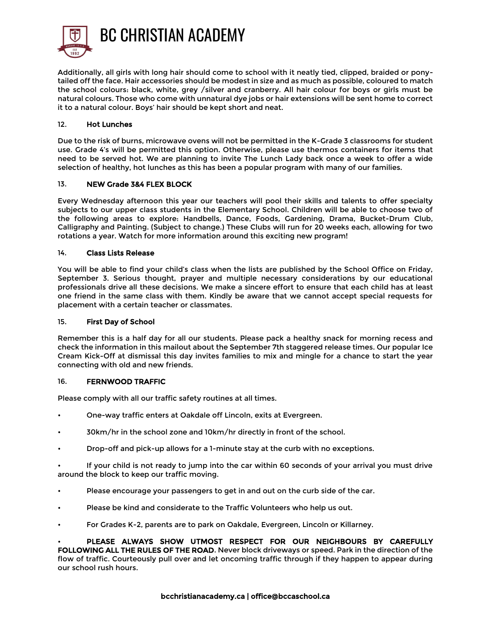

Additionally, all girls with long hair should come to school with it neatly tied, clipped, braided or ponytailed off the face. Hair accessories should be modest in size and as much as possible, coloured to match the school colours: black, white, grey /silver and cranberry. All hair colour for boys or girls must be natural colours. Those who come with unnatural dye jobs or hair extensions will be sent home to correct it to a natural colour. Boys' hair should be kept short and neat.

## 12. Hot Lunches

Due to the risk of burns, microwave ovens will not be permitted in the K-Grade 3 classrooms for student use. Grade 4's will be permitted this option. Otherwise, please use thermos containers for items that need to be served hot. We are planning to invite The Lunch Lady back once a week to offer a wide selection of healthy, hot lunches as this has been a popular program with many of our families.

# 13. NEW Grade 3&4 FLEX BLOCK

Every Wednesday afternoon this year our teachers will pool their skills and talents to offer specialty subjects to our upper class students in the Elementary School. Children will be able to choose two of the following areas to explore: Handbells, Dance, Foods, Gardening, Drama, Bucket-Drum Club, Calligraphy and Painting. (Subject to change.) These Clubs will run for 20 weeks each, allowing for two rotations a year. Watch for more information around this exciting new program!

## 14. Class Lists Release

You will be able to find your child's class when the lists are published by the School Office on Friday, September 3. Serious thought, prayer and multiple necessary considerations by our educational professionals drive all these decisions. We make a sincere effort to ensure that each child has at least one friend in the same class with them. Kindly be aware that we cannot accept special requests for placement with a certain teacher or classmates.

## 15. First Day of School

Remember this is a half day for all our students. Please pack a healthy snack for morning recess and check the information in this mailout about the September 7th staggered release times. Our popular Ice Cream Kick-Off at dismissal this day invites families to mix and mingle for a chance to start the year connecting with old and new friends.

## 16. FERNWOOD TRAFFIC

Please comply with all our traffic safety routines at all times.

- One-way traffic enters at Oakdale off Lincoln, exits at Evergreen.
- 30km/hr in the school zone and 10km/hr directly in front of the school.
- Drop-off and pick-up allows for a 1-minute stay at the curb with no exceptions.

• If your child is not ready to jump into the car within 60 seconds of your arrival you must drive around the block to keep our traffic moving.

- Please encourage your passengers to get in and out on the curb side of the car.
- Please be kind and considerate to the Traffic Volunteers who help us out.
- For Grades K-2, parents are to park on Oakdale, Evergreen, Lincoln or Killarney.

PLEASE ALWAYS SHOW UTMOST RESPECT FOR OUR NEIGHBOURS BY CAREFULLY FOLLOWING ALL THE RULES OF THE ROAD. Never block driveways or speed. Park in the direction of the flow of traffic. Courteously pull over and let oncoming traffic through if they happen to appear during our school rush hours.